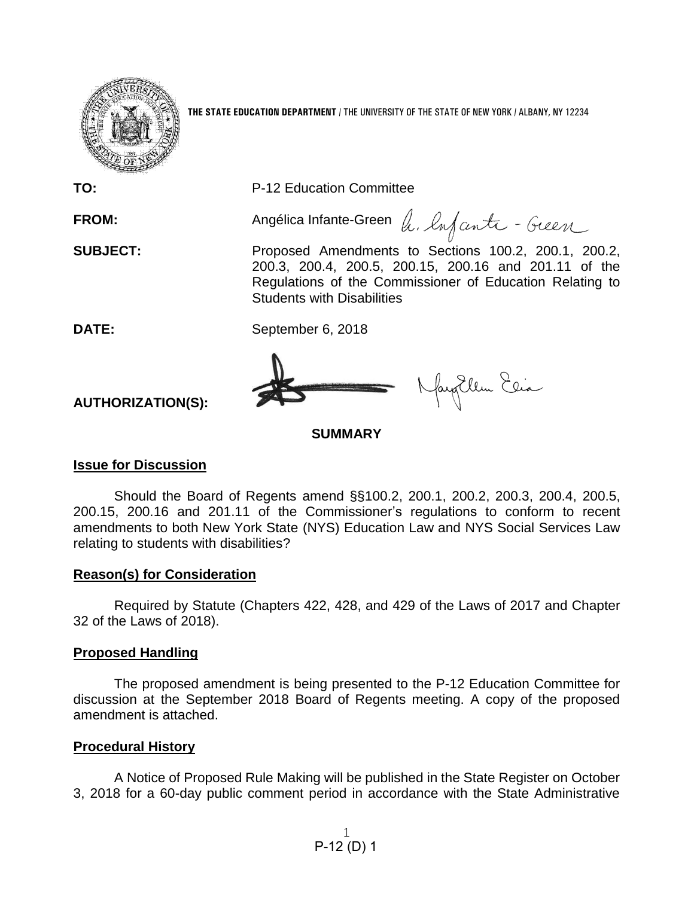

**THE STATE EDUCATION DEPARTMENT** / THE UNIVERSITY OF THE STATE OF NEW YORK / ALBANY, NY 12234

**TO:** P-12 Education Committee

**FROM:** Angélica Infante-Green h, lufanti - Gueen

**SUBJECT:** Proposed Amendments to Sections 100.2, 200.1, 200.2, 200.3, 200.4, 200.5, 200.15, 200.16 and 201.11 of the Regulations of the Commissioner of Education Relating to Students with Disabilities

**DATE:** September 6, 2018

fayEllen Elia

**AUTHORIZATION(S):**

## **SUMMARY**

### **Issue for Discussion**

Should the Board of Regents amend §§100.2, 200.1, 200.2, 200.3, 200.4, 200.5, 200.15, 200.16 and 201.11 of the Commissioner's regulations to conform to recent amendments to both New York State (NYS) Education Law and NYS Social Services Law relating to students with disabilities?

# **Reason(s) for Consideration**

Required by Statute (Chapters 422, 428, and 429 of the Laws of 2017 and Chapter 32 of the Laws of 2018).

# **Proposed Handling**

The proposed amendment is being presented to the P-12 Education Committee for discussion at the September 2018 Board of Regents meeting. A copy of the proposed amendment is attached.

### **Procedural History**

A Notice of Proposed Rule Making will be published in the State Register on October 3, 2018 for a 60-day public comment period in accordance with the State Administrative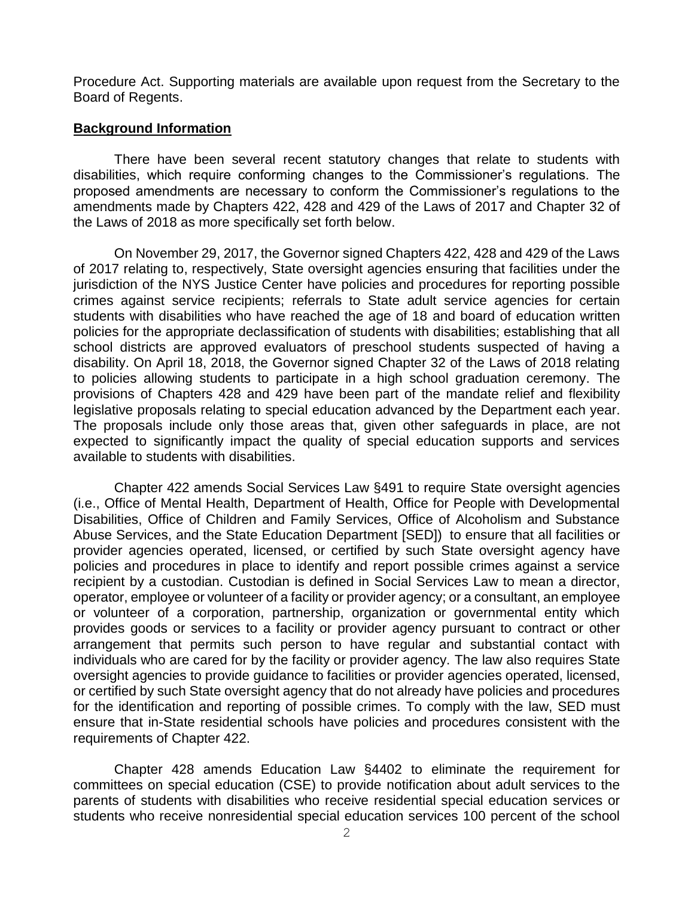Procedure Act. Supporting materials are available upon request from the Secretary to the Board of Regents.

### **Background Information**

There have been several recent statutory changes that relate to students with disabilities, which require conforming changes to the Commissioner's regulations. The proposed amendments are necessary to conform the Commissioner's regulations to the amendments made by Chapters 422, 428 and 429 of the Laws of 2017 and Chapter 32 of the Laws of 2018 as more specifically set forth below.

On November 29, 2017, the Governor signed Chapters 422, 428 and 429 of the Laws of 2017 relating to, respectively, State oversight agencies ensuring that facilities under the jurisdiction of the NYS Justice Center have policies and procedures for reporting possible crimes against service recipients; referrals to State adult service agencies for certain students with disabilities who have reached the age of 18 and board of education written policies for the appropriate declassification of students with disabilities; establishing that all school districts are approved evaluators of preschool students suspected of having a disability. On April 18, 2018, the Governor signed Chapter 32 of the Laws of 2018 relating to policies allowing students to participate in a high school graduation ceremony. The provisions of Chapters 428 and 429 have been part of the mandate relief and flexibility legislative proposals relating to special education advanced by the Department each year. The proposals include only those areas that, given other safeguards in place, are not expected to significantly impact the quality of special education supports and services available to students with disabilities.

Chapter 422 amends Social Services Law §491 to require State oversight agencies (i.e., Office of Mental Health, Department of Health, Office for People with Developmental Disabilities, Office of Children and Family Services, Office of Alcoholism and Substance Abuse Services, and the State Education Department [SED]) to ensure that all facilities or provider agencies operated, licensed, or certified by such State oversight agency have policies and procedures in place to identify and report possible crimes against a service recipient by a custodian. Custodian is defined in Social Services Law to mean a director, operator, employee or volunteer of a facility or provider agency; or a consultant, an employee or volunteer of a corporation, partnership, organization or governmental entity which provides goods or services to a facility or provider agency pursuant to contract or other arrangement that permits such person to have regular and substantial contact with individuals who are cared for by the facility or provider agency. The law also requires State oversight agencies to provide guidance to facilities or provider agencies operated, licensed, or certified by such State oversight agency that do not already have policies and procedures for the identification and reporting of possible crimes. To comply with the law, SED must ensure that in-State residential schools have policies and procedures consistent with the requirements of Chapter 422.

Chapter 428 amends Education Law §4402 to eliminate the requirement for committees on special education (CSE) to provide notification about adult services to the parents of students with disabilities who receive residential special education services or students who receive nonresidential special education services 100 percent of the school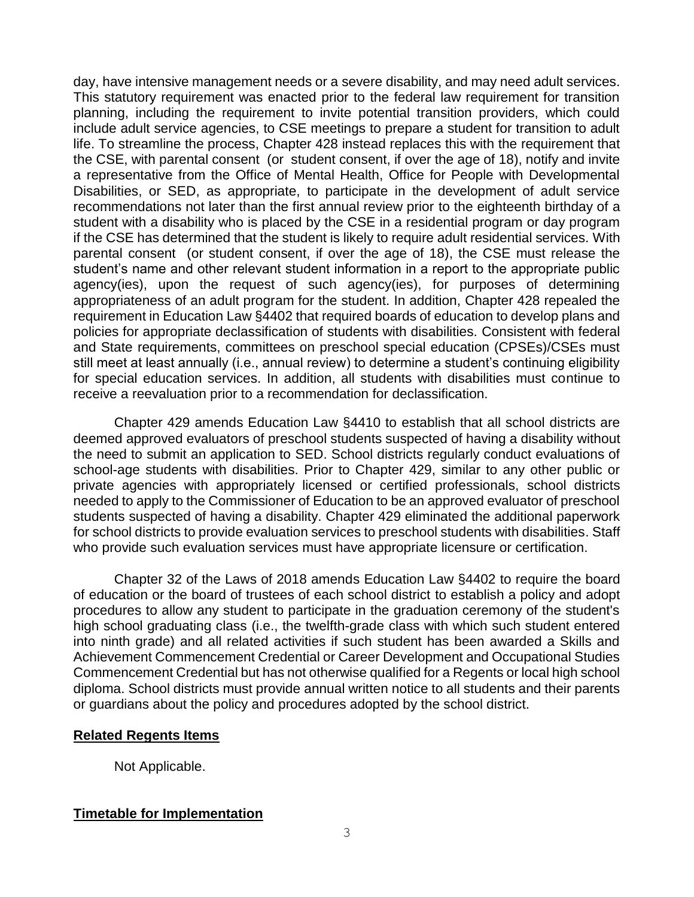day, have intensive management needs or a severe disability, and may need adult services. This statutory requirement was enacted prior to the federal law requirement for transition planning, including the requirement to invite potential transition providers, which could include adult service agencies, to CSE meetings to prepare a student for transition to adult life. To streamline the process, Chapter 428 instead replaces this with the requirement that the CSE, with parental consent (or student consent, if over the age of 18), notify and invite a representative from the Office of Mental Health, Office for People with Developmental Disabilities, or SED, as appropriate, to participate in the development of adult service recommendations not later than the first annual review prior to the eighteenth birthday of a student with a disability who is placed by the CSE in a residential program or day program if the CSE has determined that the student is likely to require adult residential services. With parental consent (or student consent, if over the age of 18), the CSE must release the student's name and other relevant student information in a report to the appropriate public agency(ies), upon the request of such agency(ies), for purposes of determining appropriateness of an adult program for the student. In addition, Chapter 428 repealed the requirement in Education Law §4402 that required boards of education to develop plans and policies for appropriate declassification of students with disabilities. Consistent with federal and State requirements, committees on preschool special education (CPSEs)/CSEs must still meet at least annually (i.e., annual review) to determine a student's continuing eligibility for special education services. In addition, all students with disabilities must continue to receive a reevaluation prior to a recommendation for declassification.

Chapter 429 amends Education Law §4410 to establish that all school districts are deemed approved evaluators of preschool students suspected of having a disability without the need to submit an application to SED. School districts regularly conduct evaluations of school-age students with disabilities. Prior to Chapter 429, similar to any other public or private agencies with appropriately licensed or certified professionals, school districts needed to apply to the Commissioner of Education to be an approved evaluator of preschool students suspected of having a disability. Chapter 429 eliminated the additional paperwork for school districts to provide evaluation services to preschool students with disabilities. Staff who provide such evaluation services must have appropriate licensure or certification.

Chapter 32 of the Laws of 2018 amends Education Law §4402 to require the board of education or the board of trustees of each school district to establish a policy and adopt procedures to allow any student to participate in the graduation ceremony of the student's high school graduating class (i.e., the twelfth-grade class with which such student entered into ninth grade) and all related activities if such student has been awarded a Skills and Achievement Commencement Credential or Career Development and Occupational Studies Commencement Credential but has not otherwise qualified for a Regents or local high school diploma. School districts must provide annual written notice to all students and their parents or guardians about the policy and procedures adopted by the school district.

#### **Related Regents Items**

Not Applicable.

### **Timetable for Implementation**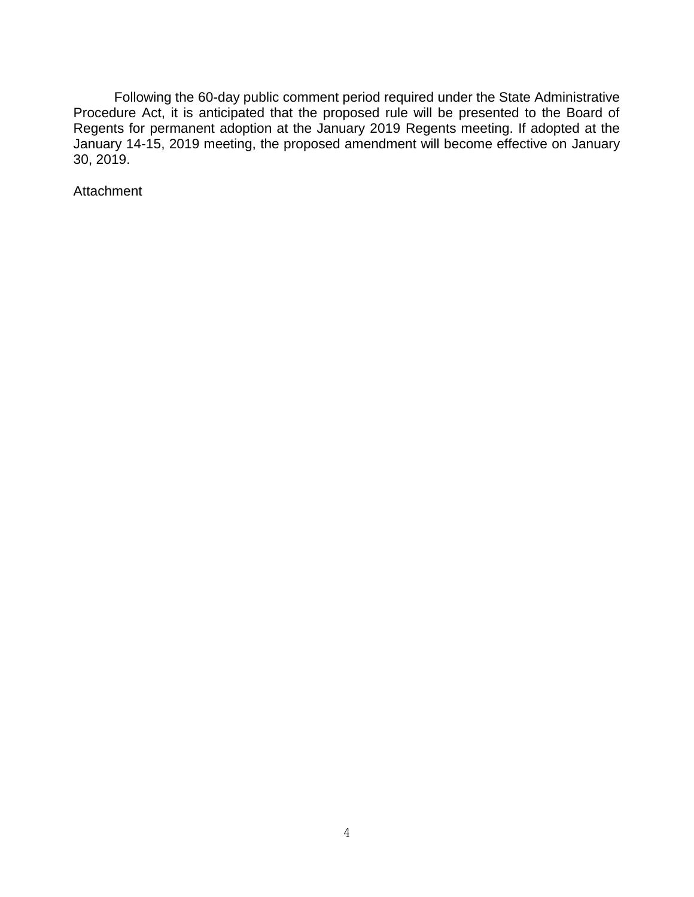Following the 60-day public comment period required under the State Administrative Procedure Act, it is anticipated that the proposed rule will be presented to the Board of Regents for permanent adoption at the January 2019 Regents meeting. If adopted at the January 14-15, 2019 meeting, the proposed amendment will become effective on January 30, 2019.

Attachment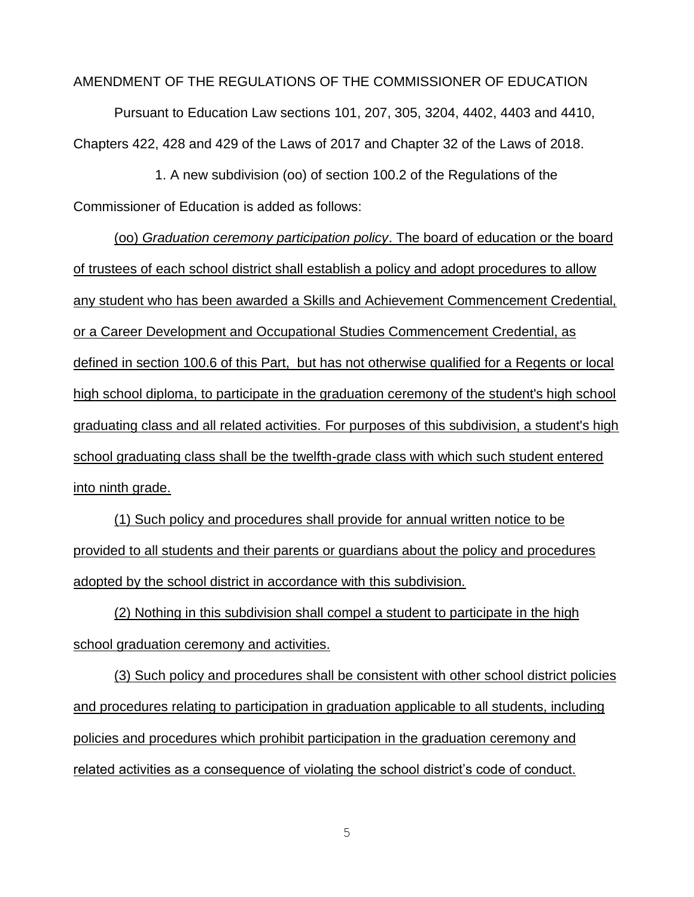#### AMENDMENT OF THE REGULATIONS OF THE COMMISSIONER OF EDUCATION

Pursuant to Education Law sections 101, 207, 305, 3204, 4402, 4403 and 4410, Chapters 422, 428 and 429 of the Laws of 2017 and Chapter 32 of the Laws of 2018.

1. A new subdivision (oo) of section 100.2 of the Regulations of the Commissioner of Education is added as follows:

(oo) *Graduation ceremony participation policy*. The board of education or the board of trustees of each school district shall establish a policy and adopt procedures to allow any student who has been awarded a Skills and Achievement Commencement Credential, or a Career Development and Occupational Studies Commencement Credential, as defined in section 100.6 of this Part, but has not otherwise qualified for a Regents or local high school diploma, to participate in the graduation ceremony of the student's high school graduating class and all related activities. For purposes of this subdivision, a student's high school graduating class shall be the twelfth-grade class with which such student entered into ninth grade.

(1) Such policy and procedures shall provide for annual written notice to be provided to all students and their parents or guardians about the policy and procedures adopted by the school district in accordance with this subdivision.

(2) Nothing in this subdivision shall compel a student to participate in the high school graduation ceremony and activities.

(3) Such policy and procedures shall be consistent with other school district policies and procedures relating to participation in graduation applicable to all students, including policies and procedures which prohibit participation in the graduation ceremony and related activities as a consequence of violating the school district's code of conduct.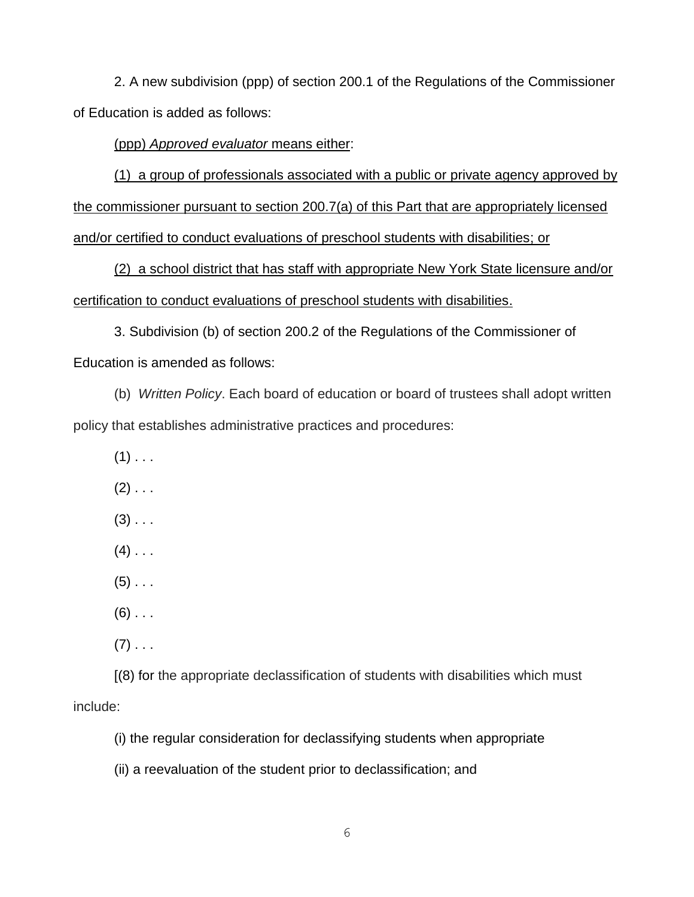2. A new subdivision (ppp) of section 200.1 of the Regulations of the Commissioner of Education is added as follows:

(ppp) *Approved evaluator* means either:

(1) a group of professionals associated with a public or private agency approved by the commissioner pursuant to section 200.7(a) of this Part that are appropriately licensed and/or certified to conduct evaluations of preschool students with disabilities; or

(2) a school district that has staff with appropriate New York State licensure and/or certification to conduct evaluations of preschool students with disabilities.

3. Subdivision (b) of section 200.2 of the Regulations of the Commissioner of Education is amended as follows:

(b) *Written Policy*. Each board of education or board of trustees shall adopt written policy that establishes administrative practices and procedures:

- $(1)$  . . .
- $(2)$  . . .
- $(3)$  . . .
- $(4)$  . . .
- $(5)$  . . .
- $(6)$  . . .
- $(7)$  . . .

[(8) for the appropriate declassification of students with disabilities which must include:

(i) the regular consideration for declassifying students when appropriate

(ii) a reevaluation of the student prior to declassification; and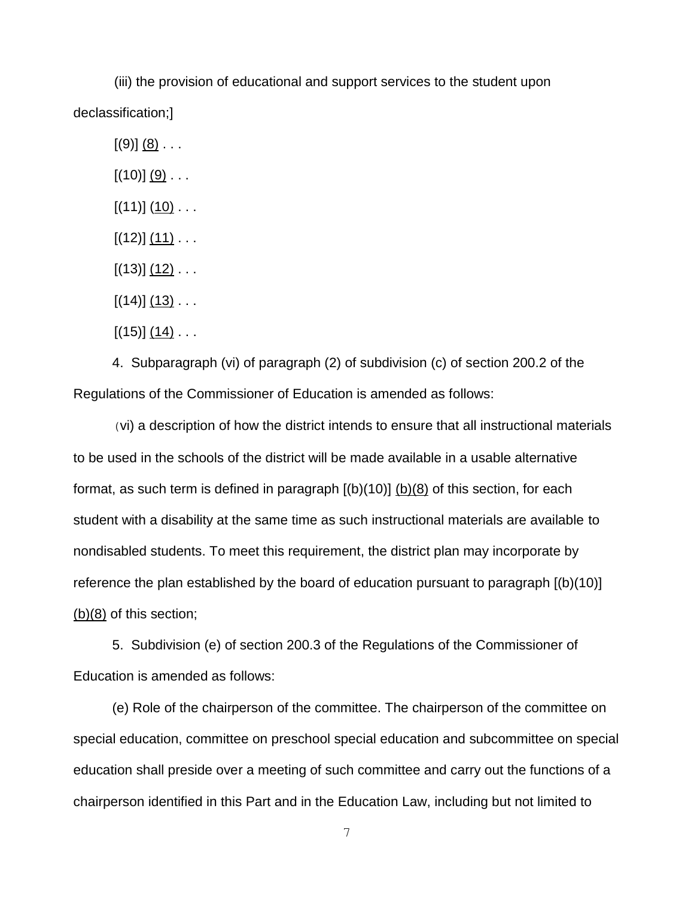(iii) the provision of educational and support services to the student upon declassification;]

 $[(9)] (8) \ldots$  $[(10)] (9) \ldots$  $[(11)]$   $(10)$   $\ldots$  $[(12)]$   $(11)$   $\ldots$  $[(13)]$   $(12)$  . . .

 $[(14)]$   $(13)$  . . .

 $[(15)] (14) \ldots$ 

4. Subparagraph (vi) of paragraph (2) of subdivision (c) of section 200.2 of the Regulations of the Commissioner of Education is amended as follows:

(vi) a description of how the district intends to ensure that all instructional materials to be used in the schools of the district will be made available in a usable alternative format, as such term is defined in paragraph [(b)(10)] (b)(8) of this section, for each student with a disability at the same time as such instructional materials are available to nondisabled students. To meet this requirement, the district plan may incorporate by reference the plan established by the board of education pursuant to paragraph [(b)(10)] (b)(8) of this section;

5. Subdivision (e) of section 200.3 of the Regulations of the Commissioner of Education is amended as follows:

(e) Role of the chairperson of the committee. The chairperson of the committee on special education, committee on preschool special education and subcommittee on special education shall preside over a meeting of such committee and carry out the functions of a chairperson identified in this Part and in the Education Law, including but not limited to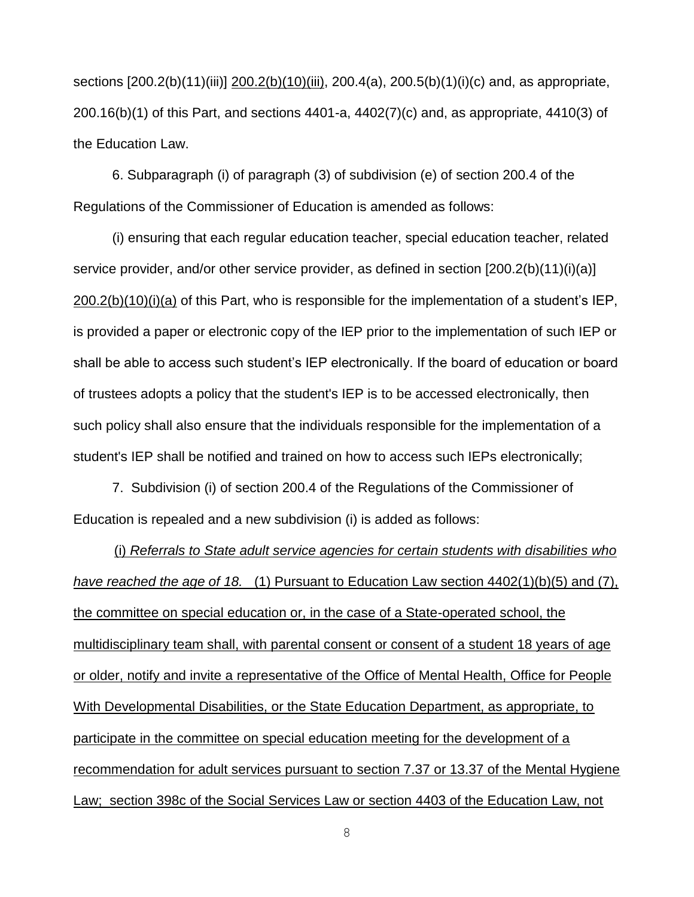sections [200.2(b)(11)(iii)] 200.2(b)(10)(iii), 200.4(a), 200.5(b)(1)(i)(c) and, as appropriate, 200.16(b)(1) of this Part, and sections 4401-a, 4402(7)(c) and, as appropriate, 4410(3) of the Education Law.

6. Subparagraph (i) of paragraph (3) of subdivision (e) of section 200.4 of the Regulations of the Commissioner of Education is amended as follows:

(i) ensuring that each regular education teacher, special education teacher, related service provider, and/or other service provider, as defined in section [200.2(b)(11)(i)(a)] 200.2(b)(10)(i)(a) of this Part, who is responsible for the implementation of a student's IEP, is provided a paper or electronic copy of the IEP prior to the implementation of such IEP or shall be able to access such student's IEP electronically. If the board of education or board of trustees adopts a policy that the student's IEP is to be accessed electronically, then such policy shall also ensure that the individuals responsible for the implementation of a student's IEP shall be notified and trained on how to access such IEPs electronically;

7. Subdivision (i) of section 200.4 of the Regulations of the Commissioner of Education is repealed and a new subdivision (i) is added as follows:

(i) *Referrals to State adult service agencies for certain students with disabilities who have reached the age of 18.* (1) Pursuant to Education Law section 4402(1)(b)(5) and (7), the committee on special education or, in the case of a State-operated school, the multidisciplinary team shall, with parental consent or consent of a student 18 years of age or older, notify and invite a representative of the Office of Mental Health, Office for People With Developmental Disabilities, or the State Education Department, as appropriate, to participate in the committee on special education meeting for the development of a recommendation for adult services pursuant to section 7.37 or 13.37 of the Mental Hygiene Law; section 398c of the Social Services Law or section 4403 of the Education Law, not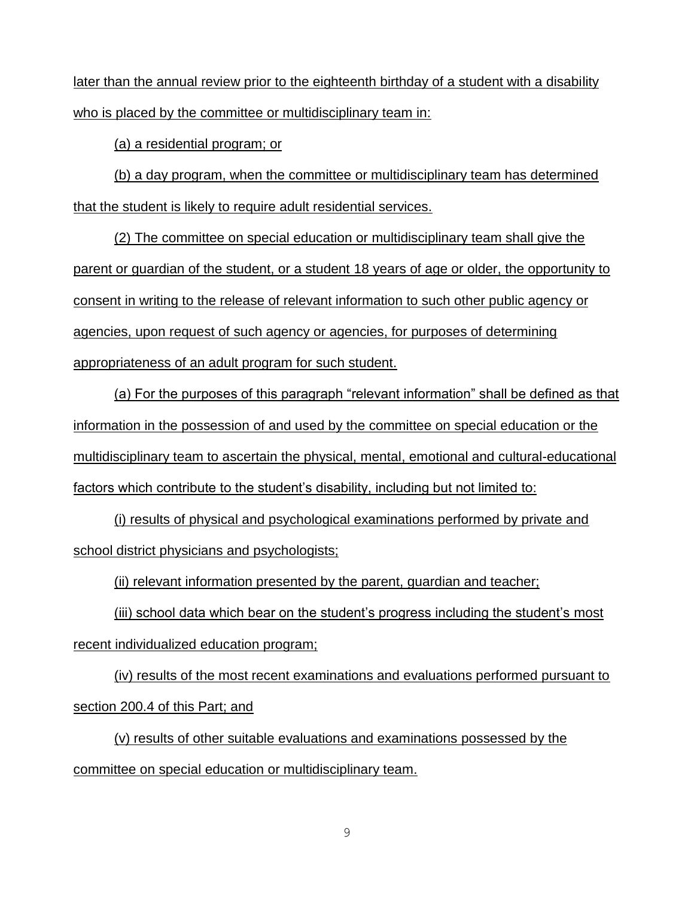later than the annual review prior to the eighteenth birthday of a student with a disability who is placed by the committee or multidisciplinary team in:

(a) a residential program; or

(b) a day program, when the committee or multidisciplinary team has determined that the student is likely to require adult residential services.

(2) The committee on special education or multidisciplinary team shall give the parent or guardian of the student, or a student 18 years of age or older, the opportunity to consent in writing to the release of relevant information to such other public agency or agencies, upon request of such agency or agencies, for purposes of determining appropriateness of an adult program for such student.

(a) For the purposes of this paragraph "relevant information" shall be defined as that information in the possession of and used by the committee on special education or the multidisciplinary team to ascertain the physical, mental, emotional and cultural-educational factors which contribute to the student's disability, including but not limited to:

(i) results of physical and psychological examinations performed by private and school district physicians and psychologists;

(ii) relevant information presented by the parent, guardian and teacher;

(iii) school data which bear on the student's progress including the student's most recent individualized education program;

(iv) results of the most recent examinations and evaluations performed pursuant to section 200.4 of this Part; and

(v) results of other suitable evaluations and examinations possessed by the committee on special education or multidisciplinary team.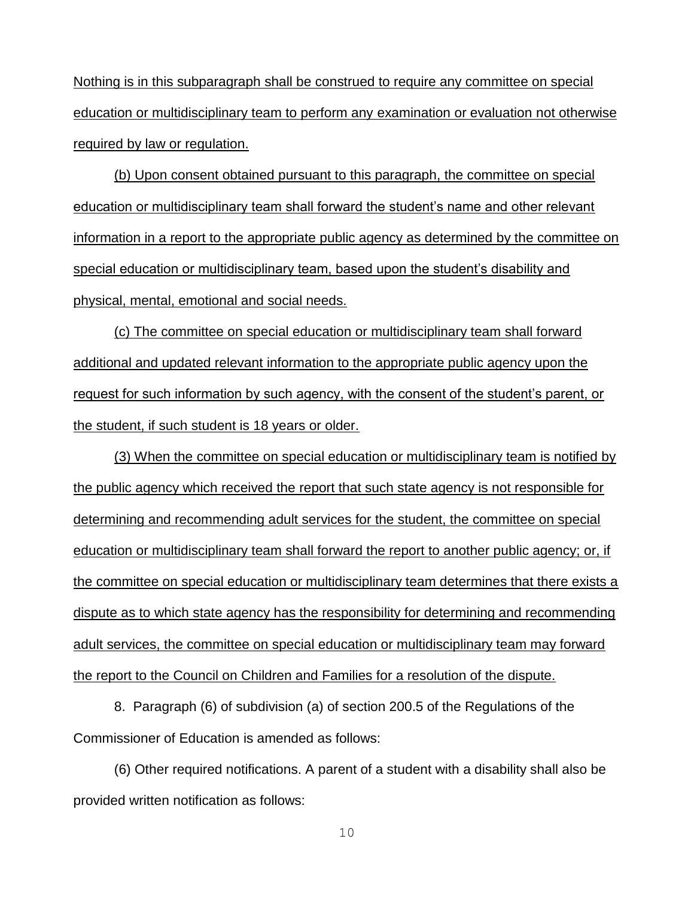Nothing is in this subparagraph shall be construed to require any committee on special education or multidisciplinary team to perform any examination or evaluation not otherwise required by law or regulation.

(b) Upon consent obtained pursuant to this paragraph, the committee on special education or multidisciplinary team shall forward the student's name and other relevant information in a report to the appropriate public agency as determined by the committee on special education or multidisciplinary team, based upon the student's disability and physical, mental, emotional and social needs.

(c) The committee on special education or multidisciplinary team shall forward additional and updated relevant information to the appropriate public agency upon the request for such information by such agency, with the consent of the student's parent, or the student, if such student is 18 years or older.

(3) When the committee on special education or multidisciplinary team is notified by the public agency which received the report that such state agency is not responsible for determining and recommending adult services for the student, the committee on special education or multidisciplinary team shall forward the report to another public agency; or, if the committee on special education or multidisciplinary team determines that there exists a dispute as to which state agency has the responsibility for determining and recommending adult services, the committee on special education or multidisciplinary team may forward the report to the Council on Children and Families for a resolution of the dispute.

8. Paragraph (6) of subdivision (a) of section 200.5 of the Regulations of the Commissioner of Education is amended as follows:

(6) Other required notifications. A parent of a student with a disability shall also be provided written notification as follows: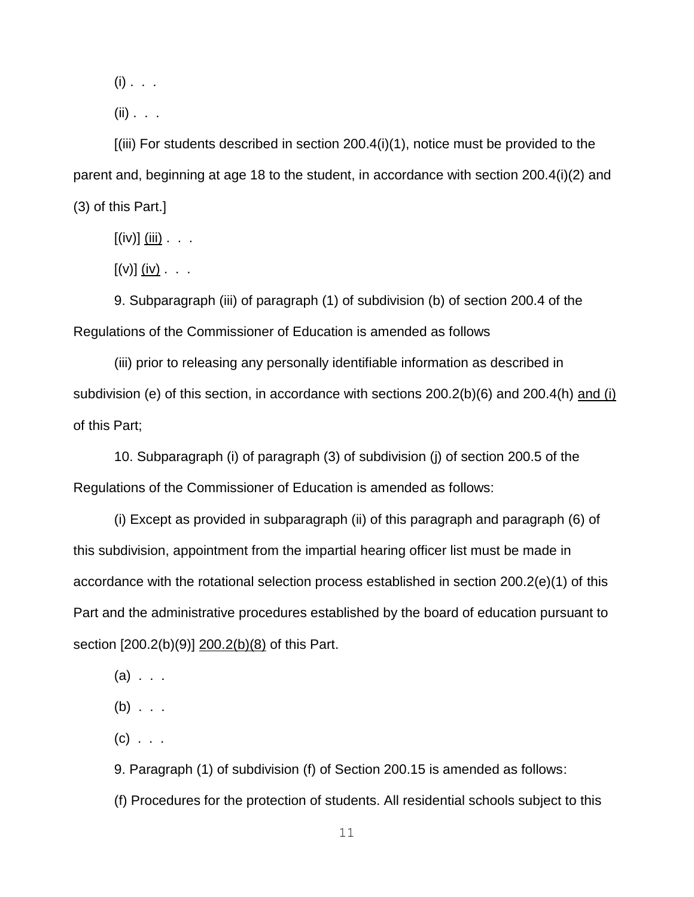$(i)$  . . .

 $(ii)$  . . .

 $[(iii)$  For students described in section 200.4 $(i)(1)$ , notice must be provided to the parent and, beginning at age 18 to the student, in accordance with section 200.4(i)(2) and (3) of this Part.]

 $[(iv)]$  (iii) . . .

 $[(v)]$  (iv) . . .

9. Subparagraph (iii) of paragraph (1) of subdivision (b) of section 200.4 of the Regulations of the Commissioner of Education is amended as follows

(iii) prior to releasing any personally identifiable information as described in subdivision (e) of this section, in accordance with sections 200.2(b)(6) and 200.4(h) and (i) of this Part;

10. Subparagraph (i) of paragraph (3) of subdivision (j) of section 200.5 of the Regulations of the Commissioner of Education is amended as follows:

(i) Except as provided in subparagraph (ii) of this paragraph and paragraph (6) of this subdivision, appointment from the impartial hearing officer list must be made in accordance with the rotational selection process established in section 200.2(e)(1) of this Part and the administrative procedures established by the board of education pursuant to section [200.2(b)(9)] 200.2(b)(8) of this Part.

 $(a) \ldots$ 

 $(b)$  . . .

 $(c)$  . . .

9. Paragraph (1) of subdivision (f) of Section 200.15 is amended as follows:

(f) Procedures for the protection of students. All residential schools subject to this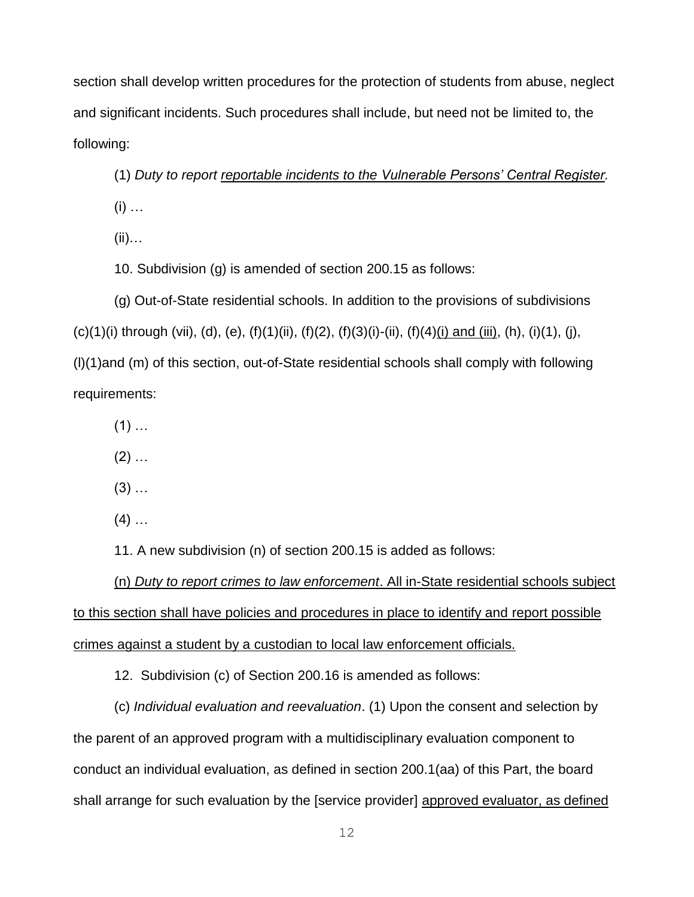section shall develop written procedures for the protection of students from abuse, neglect and significant incidents. Such procedures shall include, but need not be limited to, the following:

(1) *Duty to report reportable incidents to the Vulnerable Persons' Central Register.*

 $(i)$  …

 $(ii)$ …

10. Subdivision (g) is amended of section 200.15 as follows:

(g) Out-of-State residential schools. In addition to the provisions of subdivisions (c)(1)(i) through (vii), (d), (e), (f)(1)(ii), (f)(2), (f)(3)(i)-(ii), (f)(4)(i) and (iii), (h), (i)(1), (j), (l)(1)and (m) of this section, out-of-State residential schools shall comply with following requirements:

- $(1)$  ...
- $(2)$  ...
- $(3)$  ...
- $(4)$  …

11. A new subdivision (n) of section 200.15 is added as follows:

(n) *Duty to report crimes to law enforcement*. All in-State residential schools subject to this section shall have policies and procedures in place to identify and report possible crimes against a student by a custodian to local law enforcement officials.

12. Subdivision (c) of Section 200.16 is amended as follows:

(c) *Individual evaluation and reevaluation*. (1) Upon the consent and selection by the parent of an approved program with a multidisciplinary evaluation component to conduct an individual evaluation, as defined in section 200.1(aa) of this Part, the board shall arrange for such evaluation by the [service provider] approved evaluator, as defined